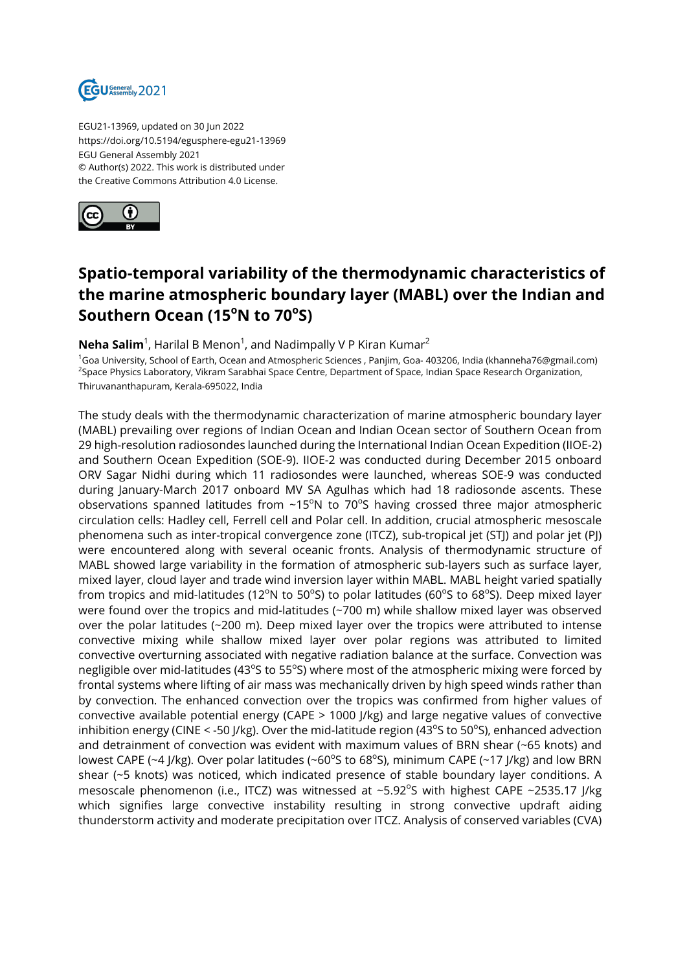

EGU21-13969, updated on 30 Jun 2022 https://doi.org/10.5194/egusphere-egu21-13969 EGU General Assembly 2021 © Author(s) 2022. This work is distributed under the Creative Commons Attribution 4.0 License.



## **Spatio-temporal variability of the thermodynamic characteristics of the marine atmospheric boundary layer (MABL) over the Indian and Southern Ocean (15<sup>o</sup>N to 70<sup>o</sup> S)**

## $\bm{\mathsf{Neha\:Salim}}^1$ , Harilal B Menon $^1$ , and Nadimpally V P Kiran Kumar $^2$

<sup>1</sup>Goa University, School of Earth, Ocean and Atmospheric Sciences , Panjim, Goa- 403206, India (khanneha76@gmail.com) <sup>2</sup>Space Physics Laboratory, Vikram Sarabhai Space Centre, Department of Space, Indian Space Research Organization, Thiruvananthapuram, Kerala-695022, India

The study deals with the thermodynamic characterization of marine atmospheric boundary layer (MABL) prevailing over regions of Indian Ocean and Indian Ocean sector of Southern Ocean from 29 high-resolution radiosondes launched during the International Indian Ocean Expedition (IIOE-2) and Southern Ocean Expedition (SOE-9). IIOE-2 was conducted during December 2015 onboard ORV Sagar Nidhi during which 11 radiosondes were launched, whereas SOE-9 was conducted during January-March 2017 onboard MV SA Agulhas which had 18 radiosonde ascents. These observations spanned latitudes from  $\sim$ 15°N to 70°S having crossed three major atmospheric circulation cells: Hadley cell, Ferrell cell and Polar cell. In addition, crucial atmospheric mesoscale phenomena such as inter-tropical convergence zone (ITCZ), sub-tropical jet (STJ) and polar jet (PJ) were encountered along with several oceanic fronts. Analysis of thermodynamic structure of MABL showed large variability in the formation of atmospheric sub-layers such as surface layer, mixed layer, cloud layer and trade wind inversion layer within MABL. MABL height varied spatially from tropics and mid-latitudes (12°N to 50°S) to polar latitudes (60°S to 68°S). Deep mixed layer were found over the tropics and mid-latitudes (~700 m) while shallow mixed layer was observed over the polar latitudes (~200 m). Deep mixed layer over the tropics were attributed to intense convective mixing while shallow mixed layer over polar regions was attributed to limited convective overturning associated with negative radiation balance at the surface. Convection was negligible over mid-latitudes (43°S to 55°S) where most of the atmospheric mixing were forced by frontal systems where lifting of air mass was mechanically driven by high speed winds rather than by convection. The enhanced convection over the tropics was confirmed from higher values of convective available potential energy (CAPE > 1000 J/kg) and large negative values of convective inhibition energy (CINE < -50 J/kg). Over the mid-latitude region (43°S to 50°S), enhanced advection and detrainment of convection was evident with maximum values of BRN shear (~65 knots) and lowest CAPE (~4 J/kg). Over polar latitudes (~60<sup>o</sup>S to 68<sup>o</sup>S), minimum CAPE (~17 J/kg) and low BRN shear (~5 knots) was noticed, which indicated presence of stable boundary layer conditions. A mesoscale phenomenon (i.e., ITCZ) was witnessed at ~5.92 $^{\circ}$ S with highest CAPE ~2535.17 J/kg which signifies large convective instability resulting in strong convective updraft aiding thunderstorm activity and moderate precipitation over ITCZ. Analysis of conserved variables (CVA)